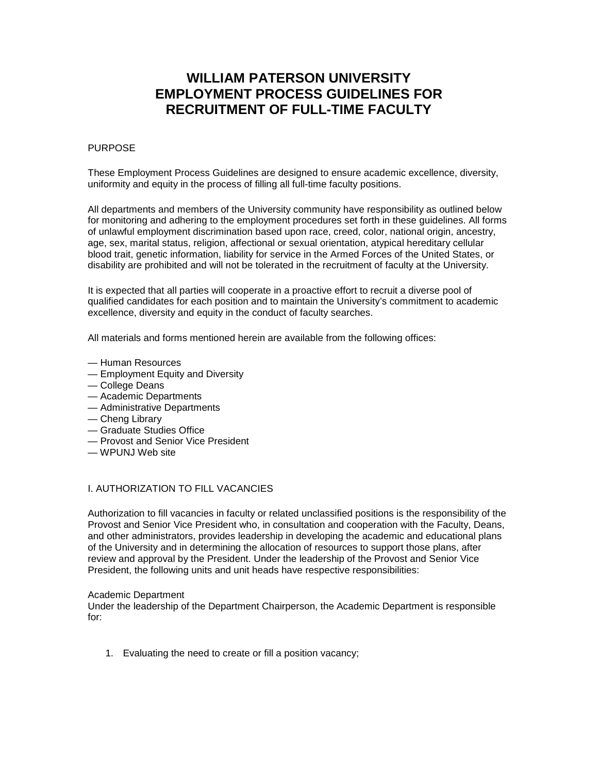# **WILLIAM PATERSON UNIVERSITY EMPLOYMENT PROCESS GUIDELINES FOR RECRUITMENT OF FULL-TIME FACULTY**

## PURPOSE

These Employment Process Guidelines are designed to ensure academic excellence, diversity, uniformity and equity in the process of filling all full-time faculty positions.

All departments and members of the University community have responsibility as outlined below for monitoring and adhering to the employment procedures set forth in these guidelines. All forms of unlawful employment discrimination based upon race, creed, color, national origin, ancestry, age, sex, marital status, religion, affectional or sexual orientation, atypical hereditary cellular blood trait, genetic information, liability for service in the Armed Forces of the United States, or disability are prohibited and will not be tolerated in the recruitment of faculty at the University.

It is expected that all parties will cooperate in a proactive effort to recruit a diverse pool of qualified candidates for each position and to maintain the University's commitment to academic excellence, diversity and equity in the conduct of faculty searches.

All materials and forms mentioned herein are available from the following offices:

- Human Resources
- Employment Equity and Diversity
- College Deans
- Academic Departments
- Administrative Departments
- Cheng Library
- Graduate Studies Office
- Provost and Senior Vice President
- WPUNJ Web site

# I. AUTHORIZATION TO FILL VACANCIES

Authorization to fill vacancies in faculty or related unclassified positions is the responsibility of the Provost and Senior Vice President who, in consultation and cooperation with the Faculty, Deans, and other administrators, provides leadership in developing the academic and educational plans of the University and in determining the allocation of resources to support those plans, after review and approval by the President. Under the leadership of the Provost and Senior Vice President, the following units and unit heads have respective responsibilities:

#### Academic Department

Under the leadership of the Department Chairperson, the Academic Department is responsible for:

1. Evaluating the need to create or fill a position vacancy;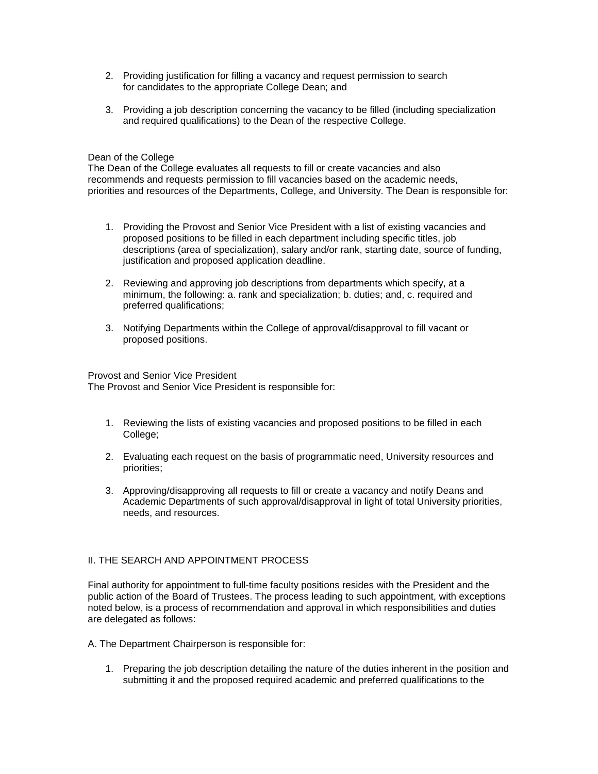- 2. Providing justification for filling a vacancy and request permission to search for candidates to the appropriate College Dean; and
- 3. Providing a job description concerning the vacancy to be filled (including specialization and required qualifications) to the Dean of the respective College.

### Dean of the College

The Dean of the College evaluates all requests to fill or create vacancies and also recommends and requests permission to fill vacancies based on the academic needs, priorities and resources of the Departments, College, and University. The Dean is responsible for:

- 1. Providing the Provost and Senior Vice President with a list of existing vacancies and proposed positions to be filled in each department including specific titles, job descriptions (area of specialization), salary and/or rank, starting date, source of funding, justification and proposed application deadline.
- 2. Reviewing and approving job descriptions from departments which specify, at a minimum, the following: a. rank and specialization; b. duties; and, c. required and preferred qualifications;
- 3. Notifying Departments within the College of approval/disapproval to fill vacant or proposed positions.

Provost and Senior Vice President The Provost and Senior Vice President is responsible for:

- 1. Reviewing the lists of existing vacancies and proposed positions to be filled in each College;
- 2. Evaluating each request on the basis of programmatic need, University resources and priorities;
- 3. Approving/disapproving all requests to fill or create a vacancy and notify Deans and Academic Departments of such approval/disapproval in light of total University priorities, needs, and resources.

## II. THE SEARCH AND APPOINTMENT PROCESS

Final authority for appointment to full-time faculty positions resides with the President and the public action of the Board of Trustees. The process leading to such appointment, with exceptions noted below, is a process of recommendation and approval in which responsibilities and duties are delegated as follows:

- A. The Department Chairperson is responsible for:
	- 1. Preparing the job description detailing the nature of the duties inherent in the position and submitting it and the proposed required academic and preferred qualifications to the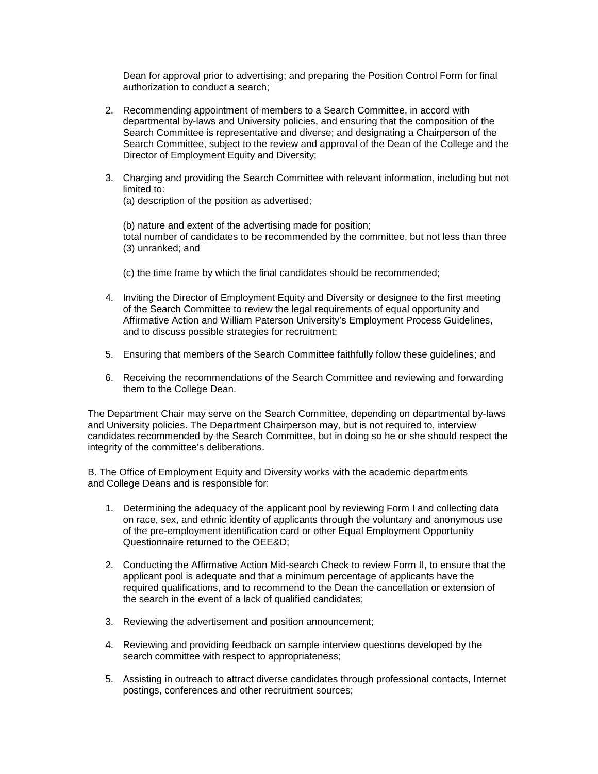Dean for approval prior to advertising; and preparing the Position Control Form for final authorization to conduct a search;

- 2. Recommending appointment of members to a Search Committee, in accord with departmental by-laws and University policies, and ensuring that the composition of the Search Committee is representative and diverse; and designating a Chairperson of the Search Committee, subject to the review and approval of the Dean of the College and the Director of Employment Equity and Diversity;
- 3. Charging and providing the Search Committee with relevant information, including but not limited to:
	- (a) description of the position as advertised;

(b) nature and extent of the advertising made for position; total number of candidates to be recommended by the committee, but not less than three (3) unranked; and

- (c) the time frame by which the final candidates should be recommended;
- 4. Inviting the Director of Employment Equity and Diversity or designee to the first meeting of the Search Committee to review the legal requirements of equal opportunity and Affirmative Action and William Paterson University's Employment Process Guidelines, and to discuss possible strategies for recruitment;
- 5. Ensuring that members of the Search Committee faithfully follow these guidelines; and
- 6. Receiving the recommendations of the Search Committee and reviewing and forwarding them to the College Dean.

The Department Chair may serve on the Search Committee, depending on departmental by-laws and University policies. The Department Chairperson may, but is not required to, interview candidates recommended by the Search Committee, but in doing so he or she should respect the integrity of the committee's deliberations.

B. The Office of Employment Equity and Diversity works with the academic departments and College Deans and is responsible for:

- 1. Determining the adequacy of the applicant pool by reviewing Form I and collecting data on race, sex, and ethnic identity of applicants through the voluntary and anonymous use of the pre-employment identification card or other Equal Employment Opportunity Questionnaire returned to the OEE&D;
- 2. Conducting the Affirmative Action Mid-search Check to review Form II, to ensure that the applicant pool is adequate and that a minimum percentage of applicants have the required qualifications, and to recommend to the Dean the cancellation or extension of the search in the event of a lack of qualified candidates;
- 3. Reviewing the advertisement and position announcement;
- 4. Reviewing and providing feedback on sample interview questions developed by the search committee with respect to appropriateness;
- 5. Assisting in outreach to attract diverse candidates through professional contacts, Internet postings, conferences and other recruitment sources;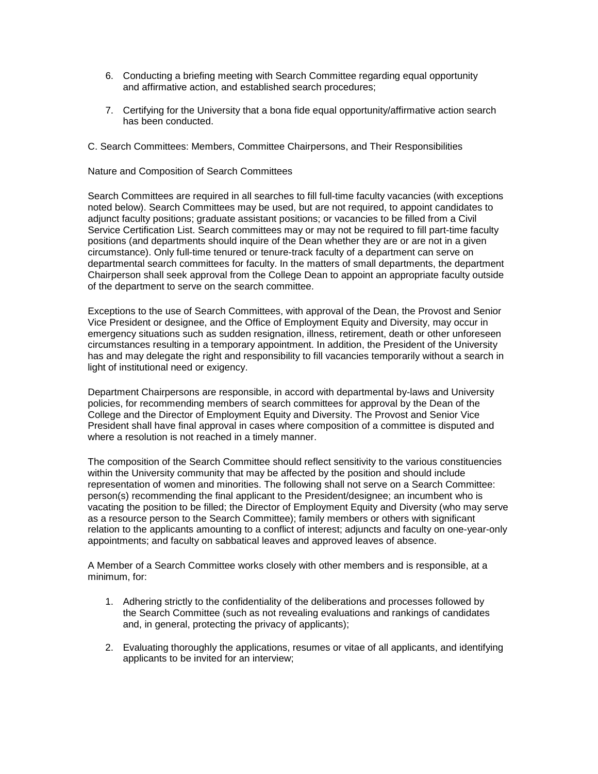- 6. Conducting a briefing meeting with Search Committee regarding equal opportunity and affirmative action, and established search procedures;
- 7. Certifying for the University that a bona fide equal opportunity/affirmative action search has been conducted.
- C. Search Committees: Members, Committee Chairpersons, and Their Responsibilities

# Nature and Composition of Search Committees

Search Committees are required in all searches to fill full-time faculty vacancies (with exceptions noted below). Search Committees may be used, but are not required, to appoint candidates to adjunct faculty positions; graduate assistant positions; or vacancies to be filled from a Civil Service Certification List. Search committees may or may not be required to fill part-time faculty positions (and departments should inquire of the Dean whether they are or are not in a given circumstance). Only full-time tenured or tenure-track faculty of a department can serve on departmental search committees for faculty. In the matters of small departments, the department Chairperson shall seek approval from the College Dean to appoint an appropriate faculty outside of the department to serve on the search committee.

Exceptions to the use of Search Committees, with approval of the Dean, the Provost and Senior Vice President or designee, and the Office of Employment Equity and Diversity, may occur in emergency situations such as sudden resignation, illness, retirement, death or other unforeseen circumstances resulting in a temporary appointment. In addition, the President of the University has and may delegate the right and responsibility to fill vacancies temporarily without a search in light of institutional need or exigency.

Department Chairpersons are responsible, in accord with departmental by-laws and University policies, for recommending members of search committees for approval by the Dean of the College and the Director of Employment Equity and Diversity. The Provost and Senior Vice President shall have final approval in cases where composition of a committee is disputed and where a resolution is not reached in a timely manner.

The composition of the Search Committee should reflect sensitivity to the various constituencies within the University community that may be affected by the position and should include representation of women and minorities. The following shall not serve on a Search Committee: person(s) recommending the final applicant to the President/designee; an incumbent who is vacating the position to be filled; the Director of Employment Equity and Diversity (who may serve as a resource person to the Search Committee); family members or others with significant relation to the applicants amounting to a conflict of interest; adjuncts and faculty on one-year-only appointments; and faculty on sabbatical leaves and approved leaves of absence.

A Member of a Search Committee works closely with other members and is responsible, at a minimum, for:

- 1. Adhering strictly to the confidentiality of the deliberations and processes followed by the Search Committee (such as not revealing evaluations and rankings of candidates and, in general, protecting the privacy of applicants);
- 2. Evaluating thoroughly the applications, resumes or vitae of all applicants, and identifying applicants to be invited for an interview;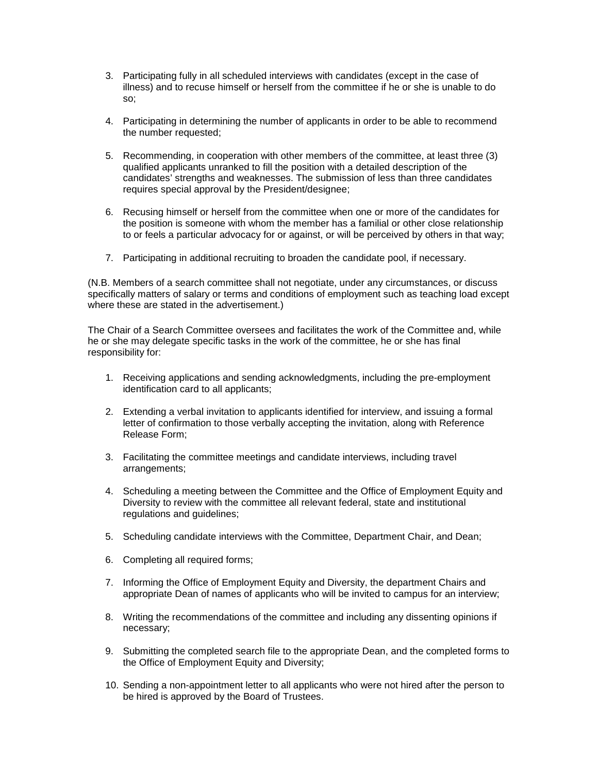- 3. Participating fully in all scheduled interviews with candidates (except in the case of illness) and to recuse himself or herself from the committee if he or she is unable to do so;
- 4. Participating in determining the number of applicants in order to be able to recommend the number requested;
- 5. Recommending, in cooperation with other members of the committee, at least three (3) qualified applicants unranked to fill the position with a detailed description of the candidates' strengths and weaknesses. The submission of less than three candidates requires special approval by the President/designee;
- 6. Recusing himself or herself from the committee when one or more of the candidates for the position is someone with whom the member has a familial or other close relationship to or feels a particular advocacy for or against, or will be perceived by others in that way;
- 7. Participating in additional recruiting to broaden the candidate pool, if necessary.

(N.B. Members of a search committee shall not negotiate, under any circumstances, or discuss specifically matters of salary or terms and conditions of employment such as teaching load except where these are stated in the advertisement.)

The Chair of a Search Committee oversees and facilitates the work of the Committee and, while he or she may delegate specific tasks in the work of the committee, he or she has final responsibility for:

- 1. Receiving applications and sending acknowledgments, including the pre-employment identification card to all applicants;
- 2. Extending a verbal invitation to applicants identified for interview, and issuing a formal letter of confirmation to those verbally accepting the invitation, along with Reference Release Form;
- 3. Facilitating the committee meetings and candidate interviews, including travel arrangements;
- 4. Scheduling a meeting between the Committee and the Office of Employment Equity and Diversity to review with the committee all relevant federal, state and institutional regulations and guidelines;
- 5. Scheduling candidate interviews with the Committee, Department Chair, and Dean;
- 6. Completing all required forms;
- 7. Informing the Office of Employment Equity and Diversity, the department Chairs and appropriate Dean of names of applicants who will be invited to campus for an interview;
- 8. Writing the recommendations of the committee and including any dissenting opinions if necessary;
- 9. Submitting the completed search file to the appropriate Dean, and the completed forms to the Office of Employment Equity and Diversity;
- 10. Sending a non-appointment letter to all applicants who were not hired after the person to be hired is approved by the Board of Trustees.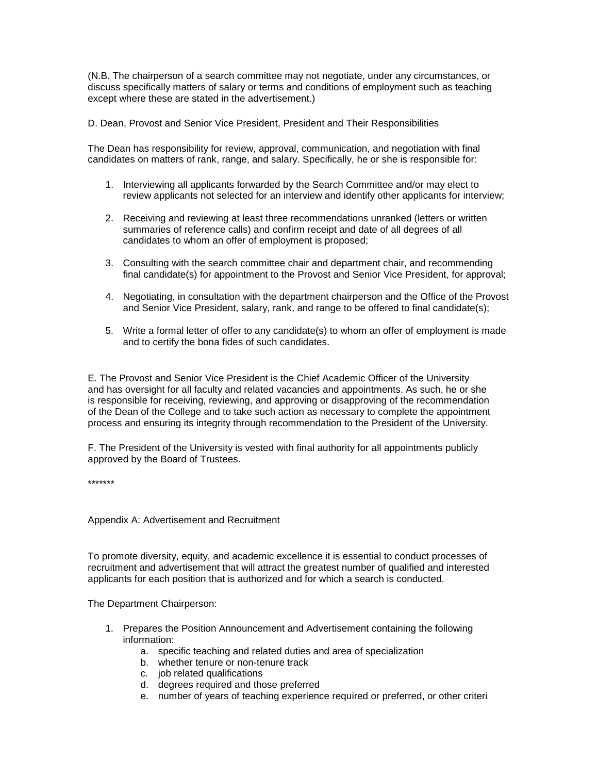(N.B. The chairperson of a search committee may not negotiate, under any circumstances, or discuss specifically matters of salary or terms and conditions of employment such as teaching except where these are stated in the advertisement.)

D. Dean, Provost and Senior Vice President, President and Their Responsibilities

The Dean has responsibility for review, approval, communication, and negotiation with final candidates on matters of rank, range, and salary. Specifically, he or she is responsible for:

- 1. Interviewing all applicants forwarded by the Search Committee and/or may elect to review applicants not selected for an interview and identify other applicants for interview;
- 2. Receiving and reviewing at least three recommendations unranked (letters or written summaries of reference calls) and confirm receipt and date of all degrees of all candidates to whom an offer of employment is proposed;
- 3. Consulting with the search committee chair and department chair, and recommending final candidate(s) for appointment to the Provost and Senior Vice President, for approval;
- 4. Negotiating, in consultation with the department chairperson and the Office of the Provost and Senior Vice President, salary, rank, and range to be offered to final candidate(s);
- 5. Write a formal letter of offer to any candidate(s) to whom an offer of employment is made and to certify the bona fides of such candidates.

E. The Provost and Senior Vice President is the Chief Academic Officer of the University and has oversight for all faculty and related vacancies and appointments. As such, he or she is responsible for receiving, reviewing, and approving or disapproving of the recommendation of the Dean of the College and to take such action as necessary to complete the appointment process and ensuring its integrity through recommendation to the President of the University.

F. The President of the University is vested with final authority for all appointments publicly approved by the Board of Trustees.

\*\*\*\*\*\*\*

Appendix A: Advertisement and Recruitment

To promote diversity, equity, and academic excellence it is essential to conduct processes of recruitment and advertisement that will attract the greatest number of qualified and interested applicants for each position that is authorized and for which a search is conducted.

The Department Chairperson:

- 1. Prepares the Position Announcement and Advertisement containing the following information:
	- a. specific teaching and related duties and area of specialization
	- b. whether tenure or non-tenure track
	- c. job related qualifications
	- d. degrees required and those preferred
	- e. number of years of teaching experience required or preferred, or other criteri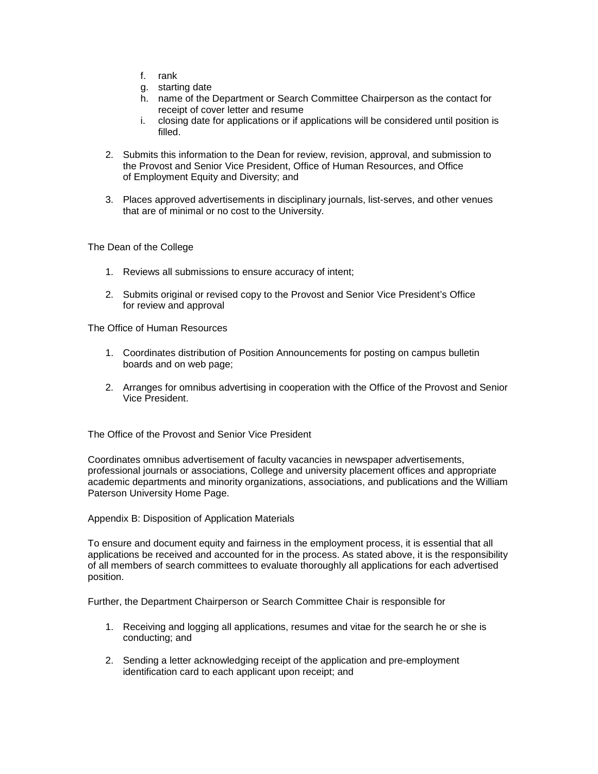- f. rank
- g. starting date
- h. name of the Department or Search Committee Chairperson as the contact for receipt of cover letter and resume
- i. closing date for applications or if applications will be considered until position is filled.
- 2. Submits this information to the Dean for review, revision, approval, and submission to the Provost and Senior Vice President, Office of Human Resources, and Office of Employment Equity and Diversity; and
- 3. Places approved advertisements in disciplinary journals, list-serves, and other venues that are of minimal or no cost to the University.

The Dean of the College

- 1. Reviews all submissions to ensure accuracy of intent;
- 2. Submits original or revised copy to the Provost and Senior Vice President's Office for review and approval

The Office of Human Resources

- 1. Coordinates distribution of Position Announcements for posting on campus bulletin boards and on web page;
- 2. Arranges for omnibus advertising in cooperation with the Office of the Provost and Senior Vice President.

The Office of the Provost and Senior Vice President

Coordinates omnibus advertisement of faculty vacancies in newspaper advertisements, professional journals or associations, College and university placement offices and appropriate academic departments and minority organizations, associations, and publications and the William Paterson University Home Page.

Appendix B: Disposition of Application Materials

To ensure and document equity and fairness in the employment process, it is essential that all applications be received and accounted for in the process. As stated above, it is the responsibility of all members of search committees to evaluate thoroughly all applications for each advertised position.

Further, the Department Chairperson or Search Committee Chair is responsible for

- 1. Receiving and logging all applications, resumes and vitae for the search he or she is conducting; and
- 2. Sending a letter acknowledging receipt of the application and pre-employment identification card to each applicant upon receipt; and